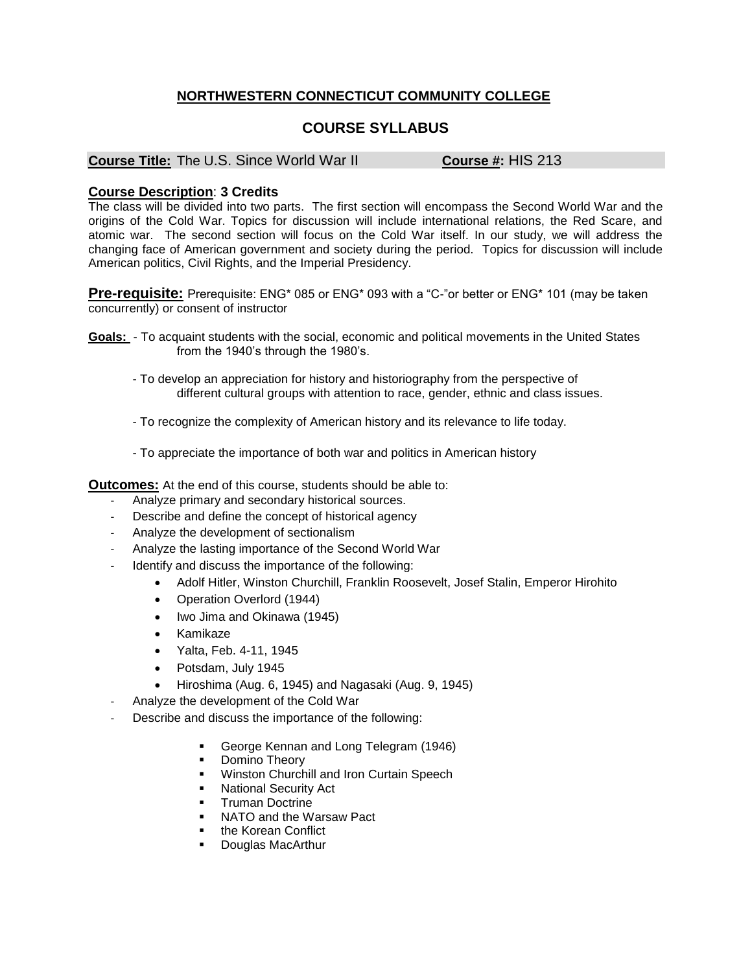## **NORTHWESTERN CONNECTICUT COMMUNITY COLLEGE**

# **COURSE SYLLABUS**

#### **Course Title:** The U.S. Since World War II **Course #:** HIS 213

### **Course Description**: **3 Credits**

The class will be divided into two parts. The first section will encompass the Second World War and the origins of the Cold War. Topics for discussion will include international relations, the Red Scare, and atomic war. The second section will focus on the Cold War itself. In our study, we will address the changing face of American government and society during the period. Topics for discussion will include American politics, Civil Rights, and the Imperial Presidency.

**Pre-requisite:** Prerequisite: ENG\* 085 or ENG\* 093 with a "C-"or better or ENG\* 101 (may be taken concurrently) or consent of instructor

- **Goals:**  To acquaint students with the social, economic and political movements in the United States from the 1940's through the 1980's.
	- To develop an appreciation for history and historiography from the perspective of different cultural groups with attention to race, gender, ethnic and class issues.
	- To recognize the complexity of American history and its relevance to life today.
	- To appreciate the importance of both war and politics in American history

**Outcomes:** At the end of this course, students should be able to:

- Analyze primary and secondary historical sources.
- Describe and define the concept of historical agency
- Analyze the development of sectionalism
- Analyze the lasting importance of the Second World War
- Identify and discuss the importance of the following:
	- Adolf Hitler, Winston Churchill, Franklin Roosevelt, Josef Stalin, Emperor Hirohito
		- Operation Overlord (1944)
		- Iwo Jima and Okinawa (1945)
		- Kamikaze
		- Yalta, Feb. 4-11, 1945
		- Potsdam, July 1945
		- Hiroshima (Aug. 6, 1945) and Nagasaki (Aug. 9, 1945)
- Analyze the development of the Cold War
- Describe and discuss the importance of the following:
	- George Kennan and Long Telegram (1946)
	- **•** Domino Theory
	- **Winston Churchill and Iron Curtain Speech**
	- National Security Act
	- Truman Doctrine
	- NATO and the Warsaw Pact
	- the Korean Conflict
	- Douglas MacArthur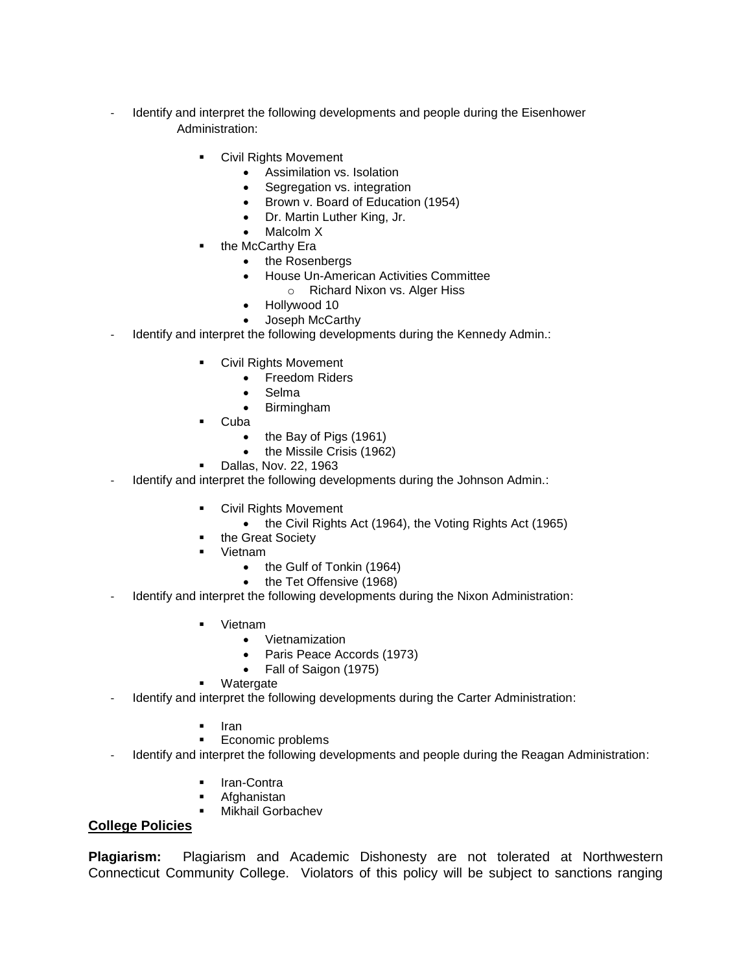- Identify and interpret the following developments and people during the Eisenhower Administration:
	- Civil Rights Movement
		- Assimilation vs. Isolation
		- Segregation vs. integration
		- Brown v. Board of Education (1954)
		- Dr. Martin Luther King, Jr.
		- Malcolm X
	- the McCarthy Era
		- the Rosenbergs
		- House Un-American Activities Committee
			- o Richard Nixon vs. Alger Hiss
		- Hollywood 10
		- Joseph McCarthy
- Identify and interpret the following developments during the Kennedy Admin.:
	- Civil Rights Movement
		- Freedom Riders
			- Selma
		- Birmingham
		- Cuba
			- $\bullet$  the Bay of Pigs (1961)
			- the Missile Crisis (1962)
	- Dallas, Nov. 22, 1963
- Identify and interpret the following developments during the Johnson Admin.:
	- Civil Rights Movement
		- the Civil Rights Act (1964), the Voting Rights Act (1965)
	- the Great Society
	- Vietnam
		- the Gulf of Tonkin (1964)
		- the Tet Offensive (1968)
- Identify and interpret the following developments during the Nixon Administration:
	- Vietnam
		- Vietnamization
		- Paris Peace Accords (1973)
		- Fall of Saigon (1975)
	- Watergate
- Identify and interpret the following developments during the Carter Administration:
	- Iran
	- Economic problems
- Identify and interpret the following developments and people during the Reagan Administration:
	- **Iran-Contra**
	- Afghanistan
	- **Mikhail Gorbachev**

## **College Policies**

**Plagiarism:** Plagiarism and Academic Dishonesty are not tolerated at Northwestern Connecticut Community College. Violators of this policy will be subject to sanctions ranging